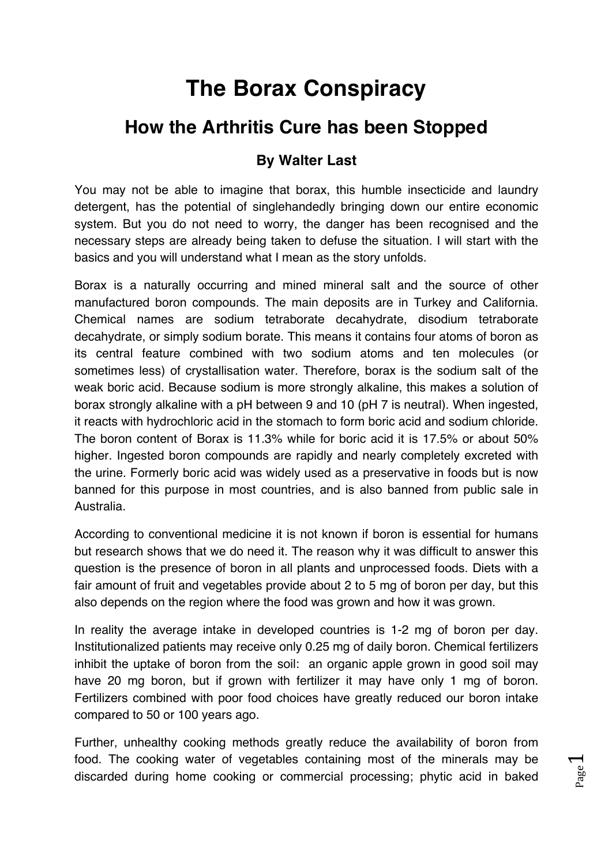# **The Borax Conspiracy**

# **How the Arthritis Cure has been Stopped**

# **By Walter Last**

You may not be able to imagine that borax, this humble insecticide and laundry detergent, has the potential of singlehandedly bringing down our entire economic system. But you do not need to worry, the danger has been recognised and the necessary steps are already being taken to defuse the situation. I will start with the basics and you will understand what I mean as the story unfolds.

Borax is a naturally occurring and mined mineral salt and the source of other manufactured boron compounds. The main deposits are in Turkey and California. Chemical names are sodium tetraborate decahydrate, disodium tetraborate decahydrate, or simply sodium borate. This means it contains four atoms of boron as its central feature combined with two sodium atoms and ten molecules (or sometimes less) of crystallisation water. Therefore, borax is the sodium salt of the weak boric acid. Because sodium is more strongly alkaline, this makes a solution of borax strongly alkaline with a pH between 9 and 10 (pH 7 is neutral). When ingested, it reacts with hydrochloric acid in the stomach to form boric acid and sodium chloride. The boron content of Borax is 11.3% while for boric acid it is 17.5% or about 50% higher. Ingested boron compounds are rapidly and nearly completely excreted with the urine. Formerly boric acid was widely used as a preservative in foods but is now banned for this purpose in most countries, and is also banned from public sale in Australia.

According to conventional medicine it is not known if boron is essential for humans but research shows that we do need it. The reason why it was difficult to answer this question is the presence of boron in all plants and unprocessed foods. Diets with a fair amount of fruit and vegetables provide about 2 to 5 mg of boron per day, but this also depends on the region where the food was grown and how it was grown.

In reality the average intake in developed countries is 1-2 mg of boron per day. Institutionalized patients may receive only 0.25 mg of daily boron. Chemical fertilizers inhibit the uptake of boron from the soil: an organic apple grown in good soil may have 20 mg boron, but if grown with fertilizer it may have only 1 mg of boron. Fertilizers combined with poor food choices have greatly reduced our boron intake compared to 50 or 100 years ago.

Further, unhealthy cooking methods greatly reduce the availability of boron from food. The cooking water of vegetables containing most of the minerals may be discarded during home cooking or commercial processing; phytic acid in baked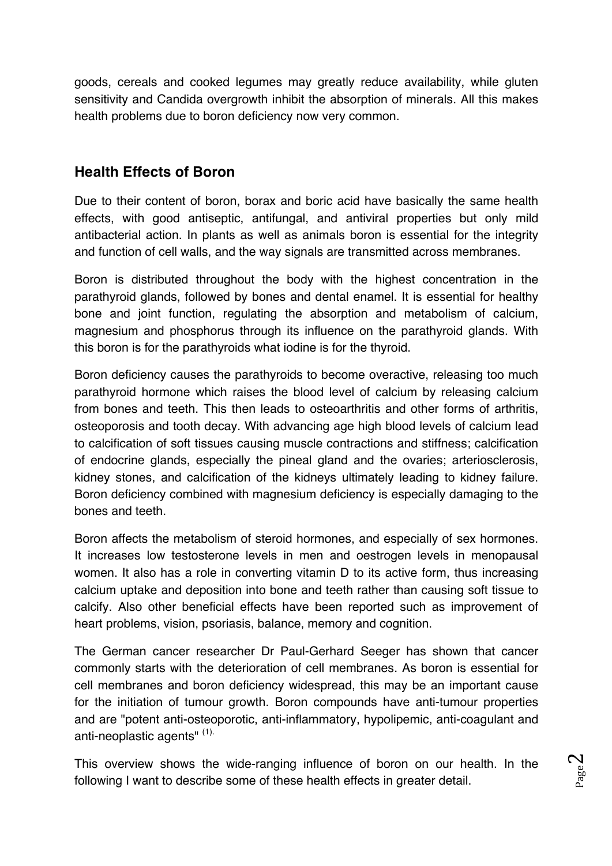goods, cereals and cooked legumes may greatly reduce availability, while gluten sensitivity and Candida overgrowth inhibit the absorption of minerals. All this makes health problems due to boron deficiency now very common.

## **Health Effects of Boron**

Due to their content of boron, borax and boric acid have basically the same health effects, with good antiseptic, antifungal, and antiviral properties but only mild antibacterial action. In plants as well as animals boron is essential for the integrity and function of cell walls, and the way signals are transmitted across membranes.

Boron is distributed throughout the body with the highest concentration in the parathyroid glands, followed by bones and dental enamel. It is essential for healthy bone and joint function, regulating the absorption and metabolism of calcium, magnesium and phosphorus through its influence on the parathyroid glands. With this boron is for the parathyroids what iodine is for the thyroid.

Boron deficiency causes the parathyroids to become overactive, releasing too much parathyroid hormone which raises the blood level of calcium by releasing calcium from bones and teeth. This then leads to osteoarthritis and other forms of arthritis, osteoporosis and tooth decay. With advancing age high blood levels of calcium lead to calcification of soft tissues causing muscle contractions and stiffness; calcification of endocrine glands, especially the pineal gland and the ovaries; arteriosclerosis, kidney stones, and calcification of the kidneys ultimately leading to kidney failure. Boron deficiency combined with magnesium deficiency is especially damaging to the bones and teeth.

Boron affects the metabolism of steroid hormones, and especially of sex hormones. It increases low testosterone levels in men and oestrogen levels in menopausal women. It also has a role in converting vitamin D to its active form, thus increasing calcium uptake and deposition into bone and teeth rather than causing soft tissue to calcify. Also other beneficial effects have been reported such as improvement of heart problems, vision, psoriasis, balance, memory and cognition.

The German cancer researcher Dr Paul-Gerhard Seeger has shown that cancer commonly starts with the deterioration of cell membranes. As boron is essential for cell membranes and boron deficiency widespread, this may be an important cause for the initiation of tumour growth. Boron compounds have anti-tumour properties and are "potent anti-osteoporotic, anti-inflammatory, hypolipemic, anti-coagulant and anti-neoplastic agents" (1).

This overview shows the wide-ranging influence of boron on our health. In the following I want to describe some of these health effects in greater detail.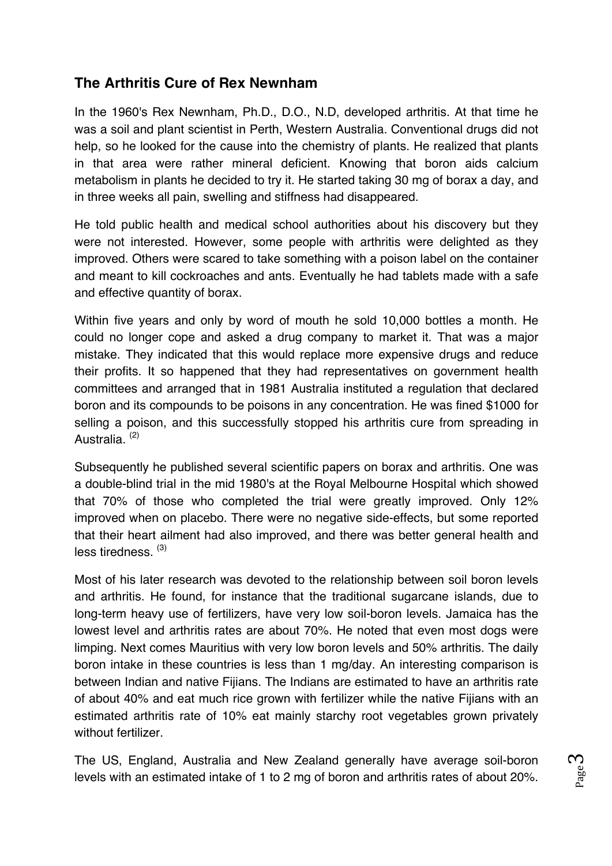# **The Arthritis Cure of Rex Newnham**

In the 1960's Rex Newnham, Ph.D., D.O., N.D, developed arthritis. At that time he was a soil and plant scientist in Perth, Western Australia. Conventional drugs did not help, so he looked for the cause into the chemistry of plants. He realized that plants in that area were rather mineral deficient. Knowing that boron aids calcium metabolism in plants he decided to try it. He started taking 30 mg of borax a day, and in three weeks all pain, swelling and stiffness had disappeared.

He told public health and medical school authorities about his discovery but they were not interested. However, some people with arthritis were delighted as they improved. Others were scared to take something with a poison label on the container and meant to kill cockroaches and ants. Eventually he had tablets made with a safe and effective quantity of borax.

Within five years and only by word of mouth he sold 10,000 bottles a month. He could no longer cope and asked a drug company to market it. That was a major mistake. They indicated that this would replace more expensive drugs and reduce their profits. It so happened that they had representatives on government health committees and arranged that in 1981 Australia instituted a regulation that declared boron and its compounds to be poisons in any concentration. He was fined \$1000 for selling a poison, and this successfully stopped his arthritis cure from spreading in Australia. (2)

Subsequently he published several scientific papers on borax and arthritis. One was a double-blind trial in the mid 1980's at the Royal Melbourne Hospital which showed that 70% of those who completed the trial were greatly improved. Only 12% improved when on placebo. There were no negative side-effects, but some reported that their heart ailment had also improved, and there was better general health and  $less$  tiredness.  $(3)$ 

Most of his later research was devoted to the relationship between soil boron levels and arthritis. He found, for instance that the traditional sugarcane islands, due to long-term heavy use of fertilizers, have very low soil-boron levels. Jamaica has the lowest level and arthritis rates are about 70%. He noted that even most dogs were limping. Next comes Mauritius with very low boron levels and 50% arthritis. The daily boron intake in these countries is less than 1 mg/day. An interesting comparison is between Indian and native Fijians. The Indians are estimated to have an arthritis rate of about 40% and eat much rice grown with fertilizer while the native Fijians with an estimated arthritis rate of 10% eat mainly starchy root vegetables grown privately without fertilizer.

The US, England, Australia and New Zealand generally have average soil-boron levels with an estimated intake of 1 to 2 mg of boron and arthritis rates of about 20%.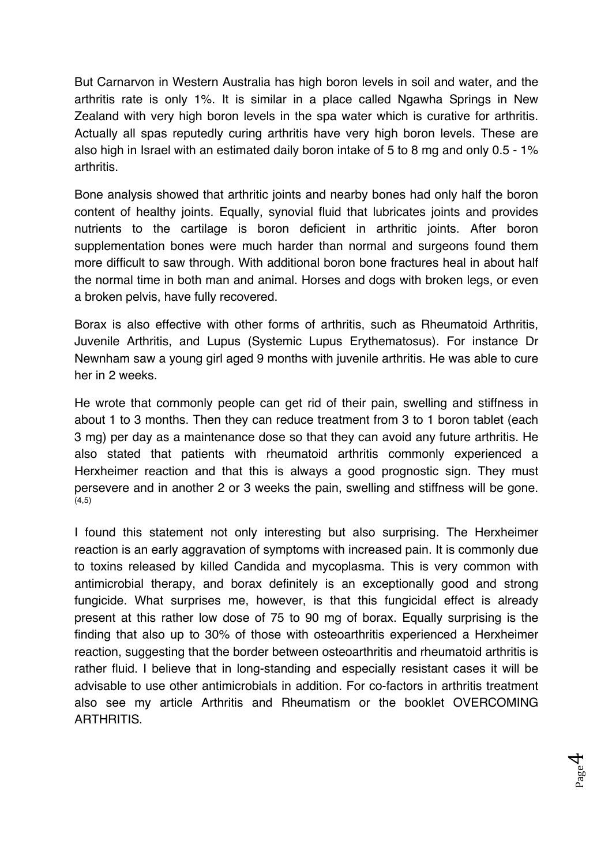But Carnarvon in Western Australia has high boron levels in soil and water, and the arthritis rate is only 1%. It is similar in a place called Ngawha Springs in New Zealand with very high boron levels in the spa water which is curative for arthritis. Actually all spas reputedly curing arthritis have very high boron levels. These are also high in Israel with an estimated daily boron intake of 5 to 8 mg and only 0.5 - 1% arthritis.

Bone analysis showed that arthritic joints and nearby bones had only half the boron content of healthy joints. Equally, synovial fluid that lubricates joints and provides nutrients to the cartilage is boron deficient in arthritic joints. After boron supplementation bones were much harder than normal and surgeons found them more difficult to saw through. With additional boron bone fractures heal in about half the normal time in both man and animal. Horses and dogs with broken legs, or even a broken pelvis, have fully recovered.

Borax is also effective with other forms of arthritis, such as Rheumatoid Arthritis, Juvenile Arthritis, and Lupus (Systemic Lupus Erythematosus). For instance Dr Newnham saw a young girl aged 9 months with juvenile arthritis. He was able to cure her in 2 weeks.

He wrote that commonly people can get rid of their pain, swelling and stiffness in about 1 to 3 months. Then they can reduce treatment from 3 to 1 boron tablet (each 3 mg) per day as a maintenance dose so that they can avoid any future arthritis. He also stated that patients with rheumatoid arthritis commonly experienced a Herxheimer reaction and that this is always a good prognostic sign. They must persevere and in another 2 or 3 weeks the pain, swelling and stiffness will be gone.  $(4,5)$ 

I found this statement not only interesting but also surprising. The Herxheimer reaction is an early aggravation of symptoms with increased pain. It is commonly due to toxins released by killed Candida and mycoplasma. This is very common with antimicrobial therapy, and borax definitely is an exceptionally good and strong fungicide. What surprises me, however, is that this fungicidal effect is already present at this rather low dose of 75 to 90 mg of borax. Equally surprising is the finding that also up to 30% of those with osteoarthritis experienced a Herxheimer reaction, suggesting that the border between osteoarthritis and rheumatoid arthritis is rather fluid. I believe that in long-standing and especially resistant cases it will be advisable to use other antimicrobials in addition. For co-factors in arthritis treatment also see my article Arthritis and Rheumatism or the booklet OVERCOMING ARTHRITIS.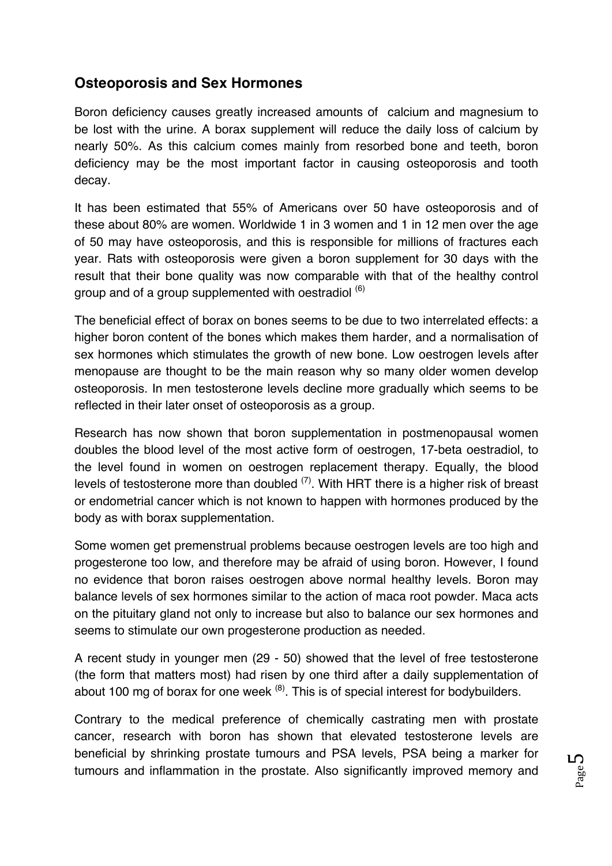# **Osteoporosis and Sex Hormones**

Boron deficiency causes greatly increased amounts of calcium and magnesium to be lost with the urine. A borax supplement will reduce the daily loss of calcium by nearly 50%. As this calcium comes mainly from resorbed bone and teeth, boron deficiency may be the most important factor in causing osteoporosis and tooth decay.

It has been estimated that 55% of Americans over 50 have osteoporosis and of these about 80% are women. Worldwide 1 in 3 women and 1 in 12 men over the age of 50 may have osteoporosis, and this is responsible for millions of fractures each year. Rats with osteoporosis were given a boron supplement for 30 days with the result that their bone quality was now comparable with that of the healthy control group and of a group supplemented with oestradiol (6)

The beneficial effect of borax on bones seems to be due to two interrelated effects: a higher boron content of the bones which makes them harder, and a normalisation of sex hormones which stimulates the growth of new bone. Low oestrogen levels after menopause are thought to be the main reason why so many older women develop osteoporosis. In men testosterone levels decline more gradually which seems to be reflected in their later onset of osteoporosis as a group.

Research has now shown that boron supplementation in postmenopausal women doubles the blood level of the most active form of oestrogen, 17-beta oestradiol, to the level found in women on oestrogen replacement therapy. Equally, the blood levels of testosterone more than doubled  $(7)$ . With HRT there is a higher risk of breast or endometrial cancer which is not known to happen with hormones produced by the body as with borax supplementation.

Some women get premenstrual problems because oestrogen levels are too high and progesterone too low, and therefore may be afraid of using boron. However, I found no evidence that boron raises oestrogen above normal healthy levels. Boron may balance levels of sex hormones similar to the action of maca root powder. Maca acts on the pituitary gland not only to increase but also to balance our sex hormones and seems to stimulate our own progesterone production as needed.

A recent study in younger men (29 - 50) showed that the level of free testosterone (the form that matters most) had risen by one third after a daily supplementation of about 100 mg of borax for one week  $(8)$ . This is of special interest for bodybuilders.

Contrary to the medical preference of chemically castrating men with prostate cancer, research with boron has shown that elevated testosterone levels are beneficial by shrinking prostate tumours and PSA levels, PSA being a marker for tumours and inflammation in the prostate. Also significantly improved memory and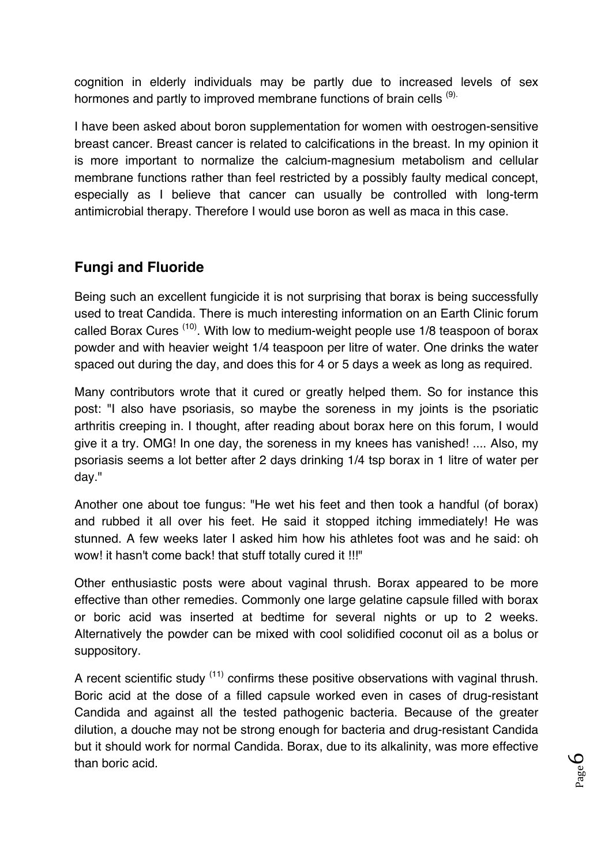cognition in elderly individuals may be partly due to increased levels of sex hormones and partly to improved membrane functions of brain cells <sup>(9).</sup>

I have been asked about boron supplementation for women with oestrogen-sensitive breast cancer. Breast cancer is related to calcifications in the breast. In my opinion it is more important to normalize the calcium-magnesium metabolism and cellular membrane functions rather than feel restricted by a possibly faulty medical concept, especially as I believe that cancer can usually be controlled with long-term antimicrobial therapy. Therefore I would use boron as well as maca in this case.

# **Fungi and Fluoride**

Being such an excellent fungicide it is not surprising that borax is being successfully used to treat Candida. There is much interesting information on an Earth Clinic forum called Borax Cures<sup>(10)</sup>. With low to medium-weight people use 1/8 teaspoon of borax powder and with heavier weight 1/4 teaspoon per litre of water. One drinks the water spaced out during the day, and does this for 4 or 5 days a week as long as required.

Many contributors wrote that it cured or greatly helped them. So for instance this post: "I also have psoriasis, so maybe the soreness in my joints is the psoriatic arthritis creeping in. I thought, after reading about borax here on this forum, I would give it a try. OMG! In one day, the soreness in my knees has vanished! .... Also, my psoriasis seems a lot better after 2 days drinking 1/4 tsp borax in 1 litre of water per day."

Another one about toe fungus: "He wet his feet and then took a handful (of borax) and rubbed it all over his feet. He said it stopped itching immediately! He was stunned. A few weeks later I asked him how his athletes foot was and he said: oh wow! it hasn't come back! that stuff totally cured it !!!"

Other enthusiastic posts were about vaginal thrush. Borax appeared to be more effective than other remedies. Commonly one large gelatine capsule filled with borax or boric acid was inserted at bedtime for several nights or up to 2 weeks. Alternatively the powder can be mixed with cool solidified coconut oil as a bolus or suppository.

A recent scientific study  $(11)$  confirms these positive observations with vaginal thrush. Boric acid at the dose of a filled capsule worked even in cases of drug-resistant Candida and against all the tested pathogenic bacteria. Because of the greater dilution, a douche may not be strong enough for bacteria and drug-resistant Candida but it should work for normal Candida. Borax, due to its alkalinity, was more effective than boric acid.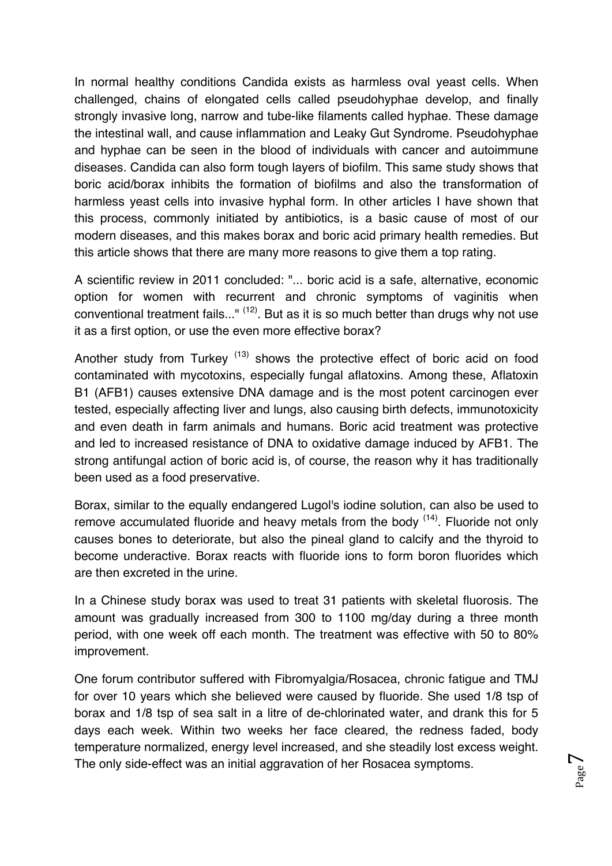In normal healthy conditions Candida exists as harmless oval yeast cells. When challenged, chains of elongated cells called pseudohyphae develop, and finally strongly invasive long, narrow and tube-like filaments called hyphae. These damage the intestinal wall, and cause inflammation and Leaky Gut Syndrome. Pseudohyphae and hyphae can be seen in the blood of individuals with cancer and autoimmune diseases. Candida can also form tough layers of biofilm. This same study shows that boric acid/borax inhibits the formation of biofilms and also the transformation of harmless yeast cells into invasive hyphal form. In other articles I have shown that this process, commonly initiated by antibiotics, is a basic cause of most of our modern diseases, and this makes borax and boric acid primary health remedies. But this article shows that there are many more reasons to give them a top rating.

A scientific review in 2011 concluded: "... boric acid is a safe, alternative, economic option for women with recurrent and chronic symptoms of vaginitis when conventional treatment fails..."  $(12)$ . But as it is so much better than drugs why not use it as a first option, or use the even more effective borax?

Another study from Turkey<sup>(13)</sup> shows the protective effect of boric acid on food contaminated with mycotoxins, especially fungal aflatoxins. Among these, Aflatoxin B1 (AFB1) causes extensive DNA damage and is the most potent carcinogen ever tested, especially affecting liver and lungs, also causing birth defects, immunotoxicity and even death in farm animals and humans. Boric acid treatment was protective and led to increased resistance of DNA to oxidative damage induced by AFB1. The strong antifungal action of boric acid is, of course, the reason why it has traditionally been used as a food preservative.

Borax, similar to the equally endangered Lugol's iodine solution, can also be used to remove accumulated fluoride and heavy metals from the body  $(14)$ . Fluoride not only causes bones to deteriorate, but also the pineal gland to calcify and the thyroid to become underactive. Borax reacts with fluoride ions to form boron fluorides which are then excreted in the urine.

In a Chinese study borax was used to treat 31 patients with skeletal fluorosis. The amount was gradually increased from 300 to 1100 mg/day during a three month period, with one week off each month. The treatment was effective with 50 to 80% improvement.

One forum contributor suffered with Fibromyalgia/Rosacea, chronic fatigue and TMJ for over 10 years which she believed were caused by fluoride. She used 1/8 tsp of borax and 1/8 tsp of sea salt in a litre of de-chlorinated water, and drank this for 5 days each week. Within two weeks her face cleared, the redness faded, body temperature normalized, energy level increased, and she steadily lost excess weight. The only side-effect was an initial aggravation of her Rosacea symptoms.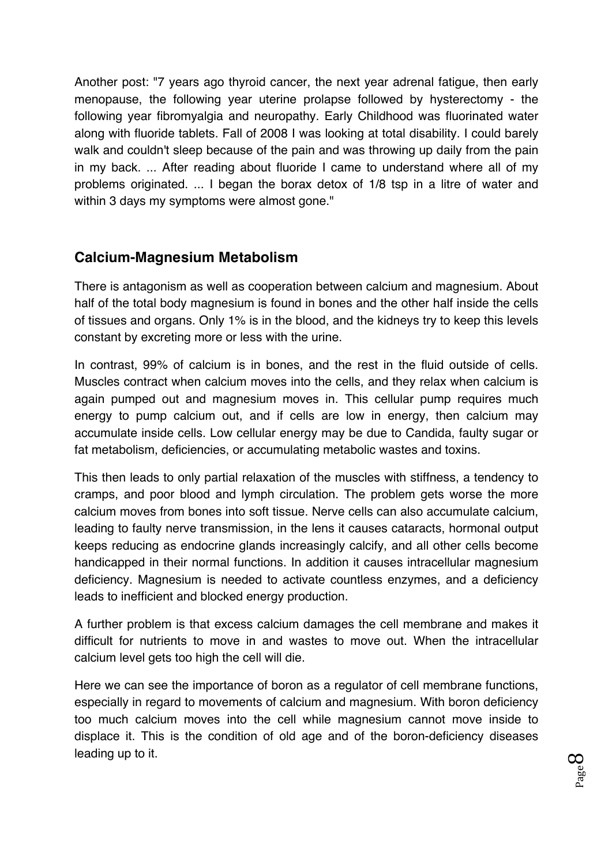Another post: "7 years ago thyroid cancer, the next year adrenal fatigue, then early menopause, the following year uterine prolapse followed by hysterectomy - the following year fibromyalgia and neuropathy. Early Childhood was fluorinated water along with fluoride tablets. Fall of 2008 I was looking at total disability. I could barely walk and couldn't sleep because of the pain and was throwing up daily from the pain in my back. ... After reading about fluoride I came to understand where all of my problems originated. ... I began the borax detox of 1/8 tsp in a litre of water and within 3 days my symptoms were almost gone."

### **Calcium-Magnesium Metabolism**

There is antagonism as well as cooperation between calcium and magnesium. About half of the total body magnesium is found in bones and the other half inside the cells of tissues and organs. Only 1% is in the blood, and the kidneys try to keep this levels constant by excreting more or less with the urine.

In contrast, 99% of calcium is in bones, and the rest in the fluid outside of cells. Muscles contract when calcium moves into the cells, and they relax when calcium is again pumped out and magnesium moves in. This cellular pump requires much energy to pump calcium out, and if cells are low in energy, then calcium may accumulate inside cells. Low cellular energy may be due to Candida, faulty sugar or fat metabolism, deficiencies, or accumulating metabolic wastes and toxins.

This then leads to only partial relaxation of the muscles with stiffness, a tendency to cramps, and poor blood and lymph circulation. The problem gets worse the more calcium moves from bones into soft tissue. Nerve cells can also accumulate calcium, leading to faulty nerve transmission, in the lens it causes cataracts, hormonal output keeps reducing as endocrine glands increasingly calcify, and all other cells become handicapped in their normal functions. In addition it causes intracellular magnesium deficiency. Magnesium is needed to activate countless enzymes, and a deficiency leads to inefficient and blocked energy production.

A further problem is that excess calcium damages the cell membrane and makes it difficult for nutrients to move in and wastes to move out. When the intracellular calcium level gets too high the cell will die.

Here we can see the importance of boron as a regulator of cell membrane functions, especially in regard to movements of calcium and magnesium. With boron deficiency too much calcium moves into the cell while magnesium cannot move inside to displace it. This is the condition of old age and of the boron-deficiency diseases leading up to it.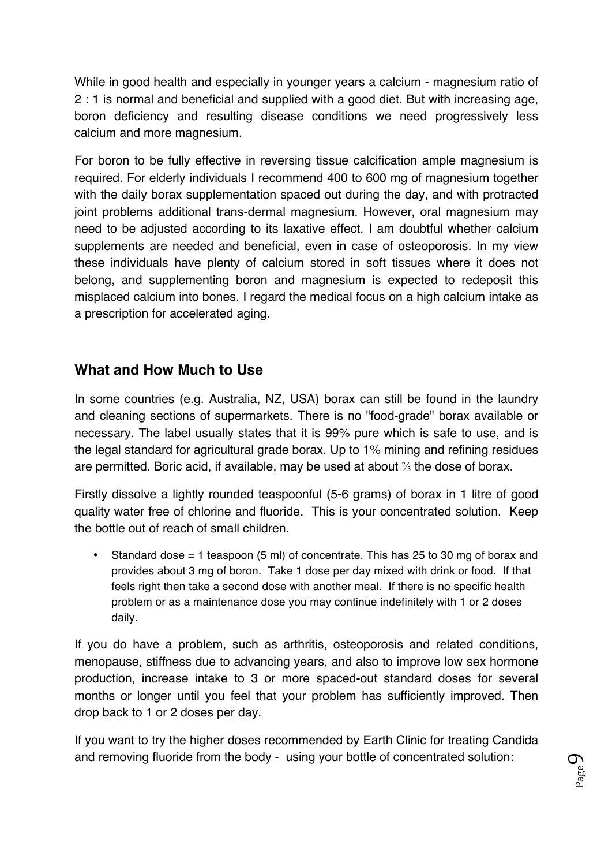While in good health and especially in younger years a calcium - magnesium ratio of 2 : 1 is normal and beneficial and supplied with a good diet. But with increasing age, boron deficiency and resulting disease conditions we need progressively less calcium and more magnesium.

For boron to be fully effective in reversing tissue calcification ample magnesium is required. For elderly individuals I recommend 400 to 600 mg of magnesium together with the daily borax supplementation spaced out during the day, and with protracted joint problems additional trans-dermal magnesium. However, oral magnesium may need to be adjusted according to its laxative effect. I am doubtful whether calcium supplements are needed and beneficial, even in case of osteoporosis. In my view these individuals have plenty of calcium stored in soft tissues where it does not belong, and supplementing boron and magnesium is expected to redeposit this misplaced calcium into bones. I regard the medical focus on a high calcium intake as a prescription for accelerated aging.

# **What and How Much to Use**

In some countries (e.g. Australia, NZ, USA) borax can still be found in the laundry and cleaning sections of supermarkets. There is no "food-grade" borax available or necessary. The label usually states that it is 99% pure which is safe to use, and is the legal standard for agricultural grade borax. Up to 1% mining and refining residues are permitted. Boric acid, if available, may be used at about ⅔ the dose of borax.

Firstly dissolve a lightly rounded teaspoonful (5-6 grams) of borax in 1 litre of good quality water free of chlorine and fluoride. This is your concentrated solution. Keep the bottle out of reach of small children.

• Standard dose = 1 teaspoon (5 ml) of concentrate. This has 25 to 30 mg of borax and provides about 3 mg of boron. Take 1 dose per day mixed with drink or food. If that feels right then take a second dose with another meal. If there is no specific health problem or as a maintenance dose you may continue indefinitely with 1 or 2 doses daily.

If you do have a problem, such as arthritis, osteoporosis and related conditions, menopause, stiffness due to advancing years, and also to improve low sex hormone production, increase intake to 3 or more spaced-out standard doses for several months or longer until you feel that your problem has sufficiently improved. Then drop back to 1 or 2 doses per day.

If you want to try the higher doses recommended by Earth Clinic for treating Candida and removing fluoride from the body - using your bottle of concentrated solution: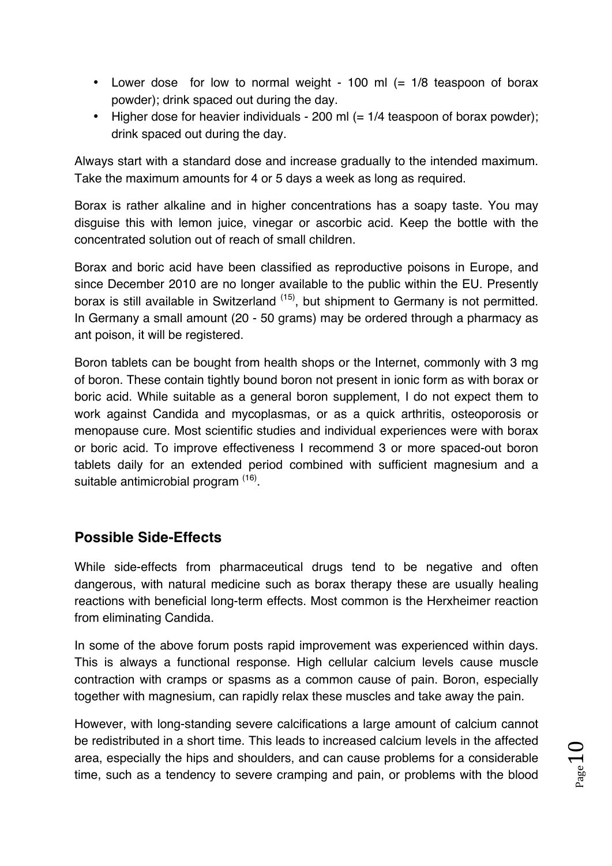- Lower dose for low to normal weight 100 ml (= 1/8 teaspoon of borax powder); drink spaced out during the day.
- Higher dose for heavier individuals 200 ml (= 1/4 teaspoon of borax powder); drink spaced out during the day.

Always start with a standard dose and increase gradually to the intended maximum. Take the maximum amounts for 4 or 5 days a week as long as required.

Borax is rather alkaline and in higher concentrations has a soapy taste. You may disguise this with lemon juice, vinegar or ascorbic acid. Keep the bottle with the concentrated solution out of reach of small children.

Borax and boric acid have been classified as reproductive poisons in Europe, and since December 2010 are no longer available to the public within the EU. Presently borax is still available in Switzerland <sup>(15)</sup>, but shipment to Germany is not permitted. In Germany a small amount (20 - 50 grams) may be ordered through a pharmacy as ant poison, it will be registered.

Boron tablets can be bought from health shops or the Internet, commonly with 3 mg of boron. These contain tightly bound boron not present in ionic form as with borax or boric acid. While suitable as a general boron supplement, I do not expect them to work against Candida and mycoplasmas, or as a quick arthritis, osteoporosis or menopause cure. Most scientific studies and individual experiences were with borax or boric acid. To improve effectiveness I recommend 3 or more spaced-out boron tablets daily for an extended period combined with sufficient magnesium and a suitable antimicrobial program <sup>(16)</sup>.

# **Possible Side-Effects**

While side-effects from pharmaceutical drugs tend to be negative and often dangerous, with natural medicine such as borax therapy these are usually healing reactions with beneficial long-term effects. Most common is the Herxheimer reaction from eliminating Candida.

In some of the above forum posts rapid improvement was experienced within days. This is always a functional response. High cellular calcium levels cause muscle contraction with cramps or spasms as a common cause of pain. Boron, especially together with magnesium, can rapidly relax these muscles and take away the pain.

However, with long-standing severe calcifications a large amount of calcium cannot be redistributed in a short time. This leads to increased calcium levels in the affected area, especially the hips and shoulders, and can cause problems for a considerable time, such as a tendency to severe cramping and pain, or problems with the blood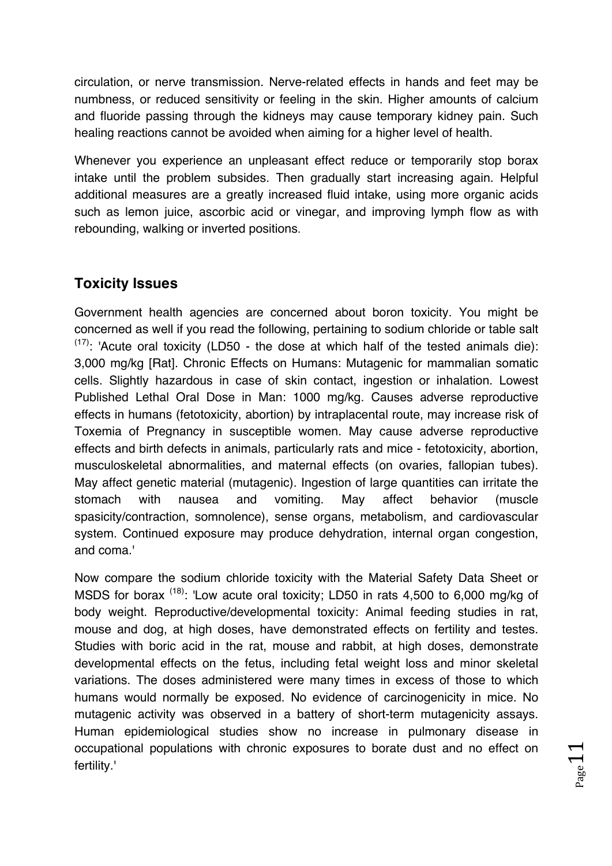circulation, or nerve transmission. Nerve-related effects in hands and feet may be numbness, or reduced sensitivity or feeling in the skin. Higher amounts of calcium and fluoride passing through the kidneys may cause temporary kidney pain. Such healing reactions cannot be avoided when aiming for a higher level of health.

Whenever you experience an unpleasant effect reduce or temporarily stop borax intake until the problem subsides. Then gradually start increasing again. Helpful additional measures are a greatly increased fluid intake, using more organic acids such as lemon juice, ascorbic acid or vinegar, and improving lymph flow as with rebounding, walking or inverted positions.

# **Toxicity Issues**

Government health agencies are concerned about boron toxicity. You might be concerned as well if you read the following, pertaining to sodium chloride or table salt  $(17)$ : 'Acute oral toxicity (LD50 - the dose at which half of the tested animals die): 3,000 mg/kg [Rat]. Chronic Effects on Humans: Mutagenic for mammalian somatic cells. Slightly hazardous in case of skin contact, ingestion or inhalation. Lowest Published Lethal Oral Dose in Man: 1000 mg/kg. Causes adverse reproductive effects in humans (fetotoxicity, abortion) by intraplacental route, may increase risk of Toxemia of Pregnancy in susceptible women. May cause adverse reproductive effects and birth defects in animals, particularly rats and mice - fetotoxicity, abortion, musculoskeletal abnormalities, and maternal effects (on ovaries, fallopian tubes). May affect genetic material (mutagenic). Ingestion of large quantities can irritate the stomach with nausea and vomiting. May affect behavior (muscle spasicity/contraction, somnolence), sense organs, metabolism, and cardiovascular system. Continued exposure may produce dehydration, internal organ congestion, and coma.'

Now compare the sodium chloride toxicity with the Material Safety Data Sheet or MSDS for borax <sup>(18)</sup>: 'Low acute oral toxicity; LD50 in rats 4,500 to 6,000 mg/kg of body weight. Reproductive/developmental toxicity: Animal feeding studies in rat, mouse and dog, at high doses, have demonstrated effects on fertility and testes. Studies with boric acid in the rat, mouse and rabbit, at high doses, demonstrate developmental effects on the fetus, including fetal weight loss and minor skeletal variations. The doses administered were many times in excess of those to which humans would normally be exposed. No evidence of carcinogenicity in mice. No mutagenic activity was observed in a battery of short-term mutagenicity assays. Human epidemiological studies show no increase in pulmonary disease in occupational populations with chronic exposures to borate dust and no effect on fertility.'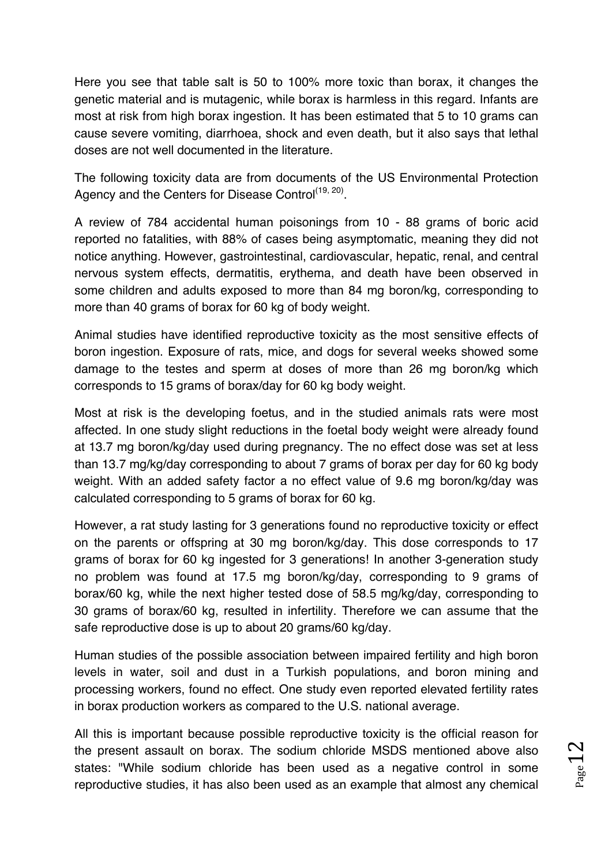Here you see that table salt is 50 to 100% more toxic than borax, it changes the genetic material and is mutagenic, while borax is harmless in this regard. Infants are most at risk from high borax ingestion. It has been estimated that 5 to 10 grams can cause severe vomiting, diarrhoea, shock and even death, but it also says that lethal doses are not well documented in the literature.

The following toxicity data are from documents of the US Environmental Protection Agency and the Centers for Disease Control<sup>(19, 20)</sup>.

A review of 784 accidental human poisonings from 10 - 88 grams of boric acid reported no fatalities, with 88% of cases being asymptomatic, meaning they did not notice anything. However, gastrointestinal, cardiovascular, hepatic, renal, and central nervous system effects, dermatitis, erythema, and death have been observed in some children and adults exposed to more than 84 mg boron/kg, corresponding to more than 40 grams of borax for 60 kg of body weight.

Animal studies have identified reproductive toxicity as the most sensitive effects of boron ingestion. Exposure of rats, mice, and dogs for several weeks showed some damage to the testes and sperm at doses of more than 26 mg boron/kg which corresponds to 15 grams of borax/day for 60 kg body weight.

Most at risk is the developing foetus, and in the studied animals rats were most affected. In one study slight reductions in the foetal body weight were already found at 13.7 mg boron/kg/day used during pregnancy. The no effect dose was set at less than 13.7 mg/kg/day corresponding to about 7 grams of borax per day for 60 kg body weight. With an added safety factor a no effect value of 9.6 mg boron/kg/day was calculated corresponding to 5 grams of borax for 60 kg.

However, a rat study lasting for 3 generations found no reproductive toxicity or effect on the parents or offspring at 30 mg boron/kg/day. This dose corresponds to 17 grams of borax for 60 kg ingested for 3 generations! In another 3-generation study no problem was found at 17.5 mg boron/kg/day, corresponding to 9 grams of borax/60 kg, while the next higher tested dose of 58.5 mg/kg/day, corresponding to 30 grams of borax/60 kg, resulted in infertility. Therefore we can assume that the safe reproductive dose is up to about 20 grams/60 kg/day.

Human studies of the possible association between impaired fertility and high boron levels in water, soil and dust in a Turkish populations, and boron mining and processing workers, found no effect. One study even reported elevated fertility rates in borax production workers as compared to the U.S. national average.

All this is important because possible reproductive toxicity is the official reason for the present assault on borax. The sodium chloride MSDS mentioned above also states: "While sodium chloride has been used as a negative control in some reproductive studies, it has also been used as an example that almost any chemical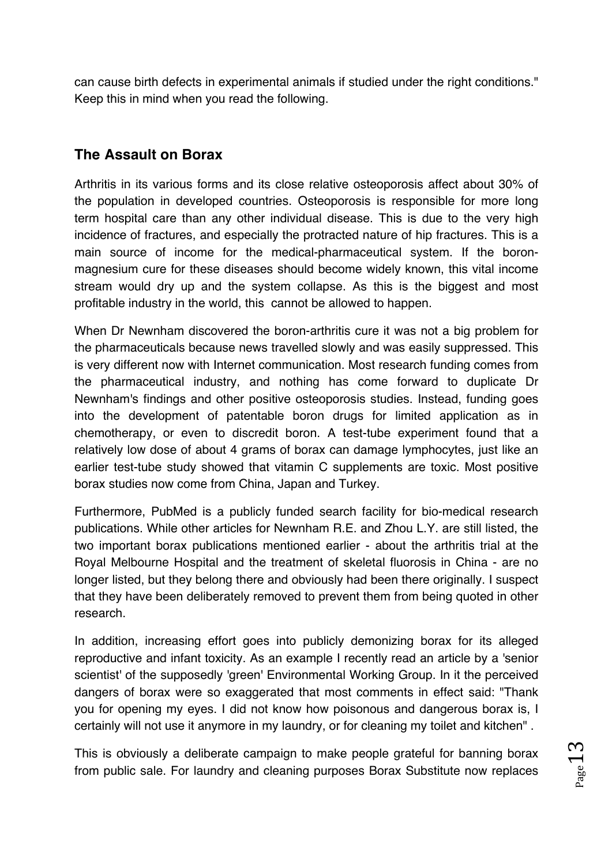can cause birth defects in experimental animals if studied under the right conditions." Keep this in mind when you read the following.

# **The Assault on Borax**

Arthritis in its various forms and its close relative osteoporosis affect about 30% of the population in developed countries. Osteoporosis is responsible for more long term hospital care than any other individual disease. This is due to the very high incidence of fractures, and especially the protracted nature of hip fractures. This is a main source of income for the medical-pharmaceutical system. If the boronmagnesium cure for these diseases should become widely known, this vital income stream would dry up and the system collapse. As this is the biggest and most profitable industry in the world, this cannot be allowed to happen.

When Dr Newnham discovered the boron-arthritis cure it was not a big problem for the pharmaceuticals because news travelled slowly and was easily suppressed. This is very different now with Internet communication. Most research funding comes from the pharmaceutical industry, and nothing has come forward to duplicate Dr Newnham's findings and other positive osteoporosis studies. Instead, funding goes into the development of patentable boron drugs for limited application as in chemotherapy, or even to discredit boron. A test-tube experiment found that a relatively low dose of about 4 grams of borax can damage lymphocytes, just like an earlier test-tube study showed that vitamin C supplements are toxic. Most positive borax studies now come from China, Japan and Turkey.

Furthermore, PubMed is a publicly funded search facility for bio-medical research publications. While other articles for Newnham R.E. and Zhou L.Y. are still listed, the two important borax publications mentioned earlier - about the arthritis trial at the Royal Melbourne Hospital and the treatment of skeletal fluorosis in China - are no longer listed, but they belong there and obviously had been there originally. I suspect that they have been deliberately removed to prevent them from being quoted in other research.

In addition, increasing effort goes into publicly demonizing borax for its alleged reproductive and infant toxicity. As an example I recently read an article by a 'senior scientist' of the supposedly 'green' Environmental Working Group. In it the perceived dangers of borax were so exaggerated that most comments in effect said: "Thank you for opening my eyes. I did not know how poisonous and dangerous borax is, I certainly will not use it anymore in my laundry, or for cleaning my toilet and kitchen" .

This is obviously a deliberate campaign to make people grateful for banning borax from public sale. For laundry and cleaning purposes Borax Substitute now replaces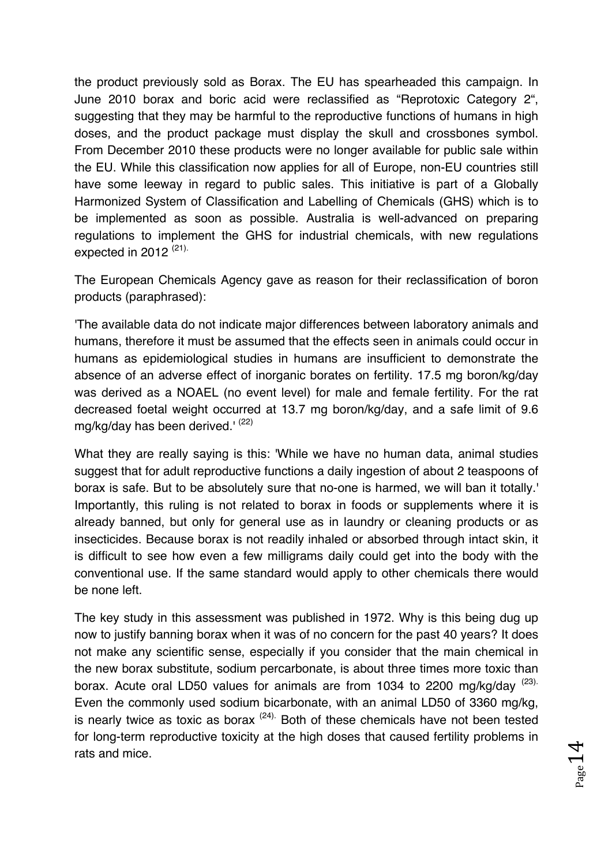the product previously sold as Borax. The EU has spearheaded this campaign. In June 2010 borax and boric acid were reclassified as "Reprotoxic Category 2", suggesting that they may be harmful to the reproductive functions of humans in high doses, and the product package must display the skull and crossbones symbol. From December 2010 these products were no longer available for public sale within the EU. While this classification now applies for all of Europe, non-EU countries still have some leeway in regard to public sales. This initiative is part of a Globally Harmonized System of Classification and Labelling of Chemicals (GHS) which is to be implemented as soon as possible. Australia is well-advanced on preparing regulations to implement the GHS for industrial chemicals, with new regulations expected in 2012<sup>(21)</sup>

The European Chemicals Agency gave as reason for their reclassification of boron products (paraphrased):

'The available data do not indicate major differences between laboratory animals and humans, therefore it must be assumed that the effects seen in animals could occur in humans as epidemiological studies in humans are insufficient to demonstrate the absence of an adverse effect of inorganic borates on fertility. 17.5 mg boron/kg/day was derived as a NOAEL (no event level) for male and female fertility. For the rat decreased foetal weight occurred at 13.7 mg boron/kg/day, and a safe limit of 9.6 mg/kg/day has been derived.<sup> $(22)$ </sup>

What they are really saying is this: 'While we have no human data, animal studies suggest that for adult reproductive functions a daily ingestion of about 2 teaspoons of borax is safe. But to be absolutely sure that no-one is harmed, we will ban it totally.' Importantly, this ruling is not related to borax in foods or supplements where it is already banned, but only for general use as in laundry or cleaning products or as insecticides. Because borax is not readily inhaled or absorbed through intact skin, it is difficult to see how even a few milligrams daily could get into the body with the conventional use. If the same standard would apply to other chemicals there would be none left.

The key study in this assessment was published in 1972. Why is this being dug up now to justify banning borax when it was of no concern for the past 40 years? It does not make any scientific sense, especially if you consider that the main chemical in the new borax substitute, sodium percarbonate, is about three times more toxic than borax. Acute oral LD50 values for animals are from 1034 to 2200 mg/kg/dav (23). Even the commonly used sodium bicarbonate, with an animal LD50 of 3360 mg/kg, is nearly twice as toxic as borax  $(24)$ . Both of these chemicals have not been tested for long-term reproductive toxicity at the high doses that caused fertility problems in rats and mice.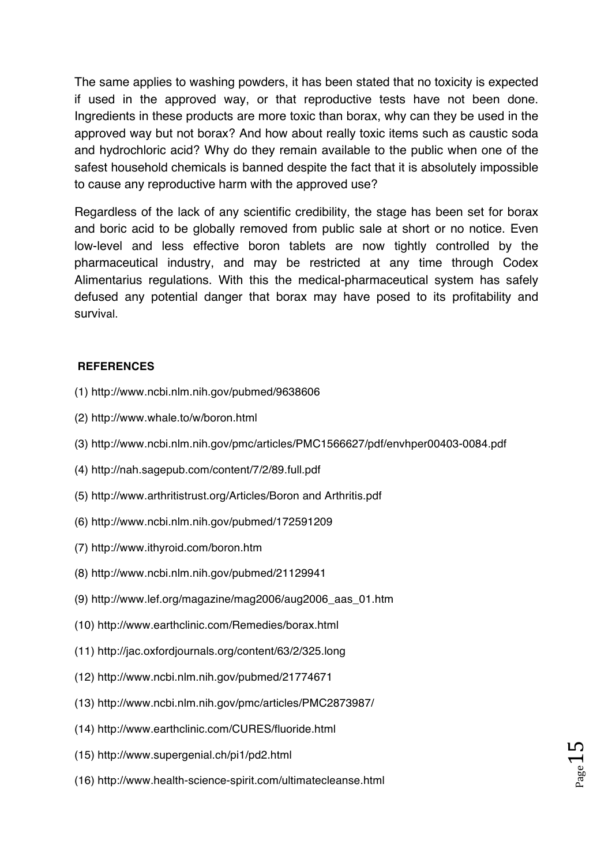The same applies to washing powders, it has been stated that no toxicity is expected if used in the approved way, or that reproductive tests have not been done. Ingredients in these products are more toxic than borax, why can they be used in the approved way but not borax? And how about really toxic items such as caustic soda and hydrochloric acid? Why do they remain available to the public when one of the safest household chemicals is banned despite the fact that it is absolutely impossible to cause any reproductive harm with the approved use?

Regardless of the lack of any scientific credibility, the stage has been set for borax and boric acid to be globally removed from public sale at short or no notice. Even low-level and less effective boron tablets are now tightly controlled by the pharmaceutical industry, and may be restricted at any time through Codex Alimentarius regulations. With this the medical-pharmaceutical system has safely defused any potential danger that borax may have posed to its profitability and survival.

#### **REFERENCES**

- (1) http://www.ncbi.nlm.nih.gov/pubmed/9638606
- (2) http://www.whale.to/w/boron.html
- (3) http://www.ncbi.nlm.nih.gov/pmc/articles/PMC1566627/pdf/envhper00403-0084.pdf
- (4) http://nah.sagepub.com/content/7/2/89.full.pdf
- (5) http://www.arthritistrust.org/Articles/Boron and Arthritis.pdf
- (6) http://www.ncbi.nlm.nih.gov/pubmed/172591209
- (7) http://www.ithyroid.com/boron.htm
- (8) http://www.ncbi.nlm.nih.gov/pubmed/21129941
- (9) http://www.lef.org/magazine/mag2006/aug2006\_aas\_01.htm
- (10) http://www.earthclinic.com/Remedies/borax.html
- (11) http://jac.oxfordjournals.org/content/63/2/325.long
- (12) http://www.ncbi.nlm.nih.gov/pubmed/21774671
- (13) http://www.ncbi.nlm.nih.gov/pmc/articles/PMC2873987/
- (14) http://www.earthclinic.com/CURES/fluoride.html
- (15) http://www.supergenial.ch/pi1/pd2.html
- (16) http://www.health-science-spirit.com/ultimatecleanse.html